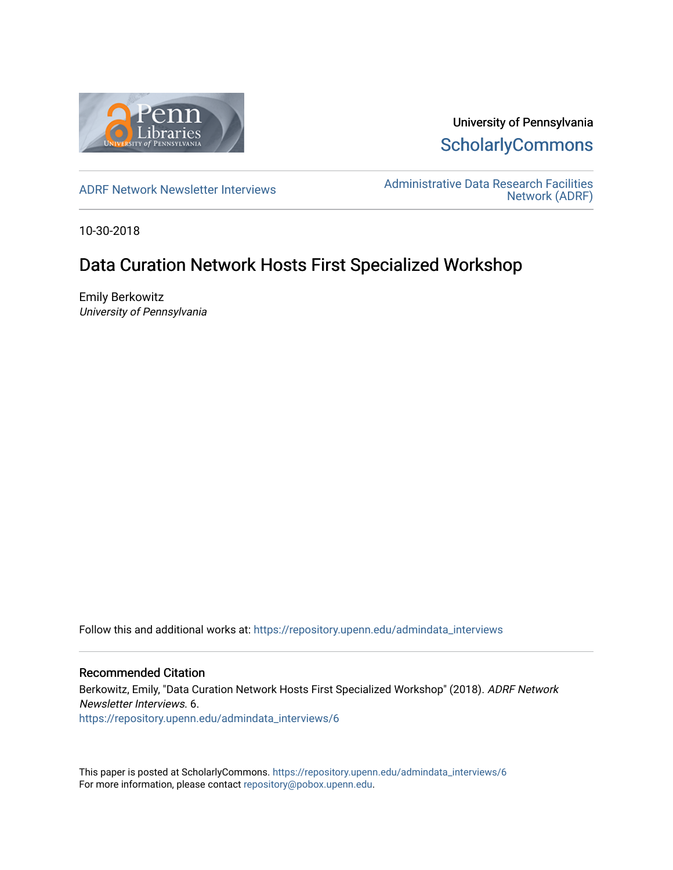

University of Pennsylvania **ScholarlyCommons** 

[ADRF Network Newsletter Interviews](https://repository.upenn.edu/admindata_interviews) [Administrative Data Research Facilities](https://repository.upenn.edu/admindata)  [Network \(ADRF\)](https://repository.upenn.edu/admindata) 

10-30-2018

# Data Curation Network Hosts First Specialized Workshop

Emily Berkowitz University of Pennsylvania

Follow this and additional works at: [https://repository.upenn.edu/admindata\\_interviews](https://repository.upenn.edu/admindata_interviews?utm_source=repository.upenn.edu%2Fadmindata_interviews%2F6&utm_medium=PDF&utm_campaign=PDFCoverPages) 

#### Recommended Citation

Berkowitz, Emily, "Data Curation Network Hosts First Specialized Workshop" (2018). ADRF Network Newsletter Interviews. 6. [https://repository.upenn.edu/admindata\\_interviews/6](https://repository.upenn.edu/admindata_interviews/6?utm_source=repository.upenn.edu%2Fadmindata_interviews%2F6&utm_medium=PDF&utm_campaign=PDFCoverPages) 

This paper is posted at ScholarlyCommons. [https://repository.upenn.edu/admindata\\_interviews/6](https://repository.upenn.edu/admindata_interviews/6) For more information, please contact [repository@pobox.upenn.edu.](mailto:repository@pobox.upenn.edu)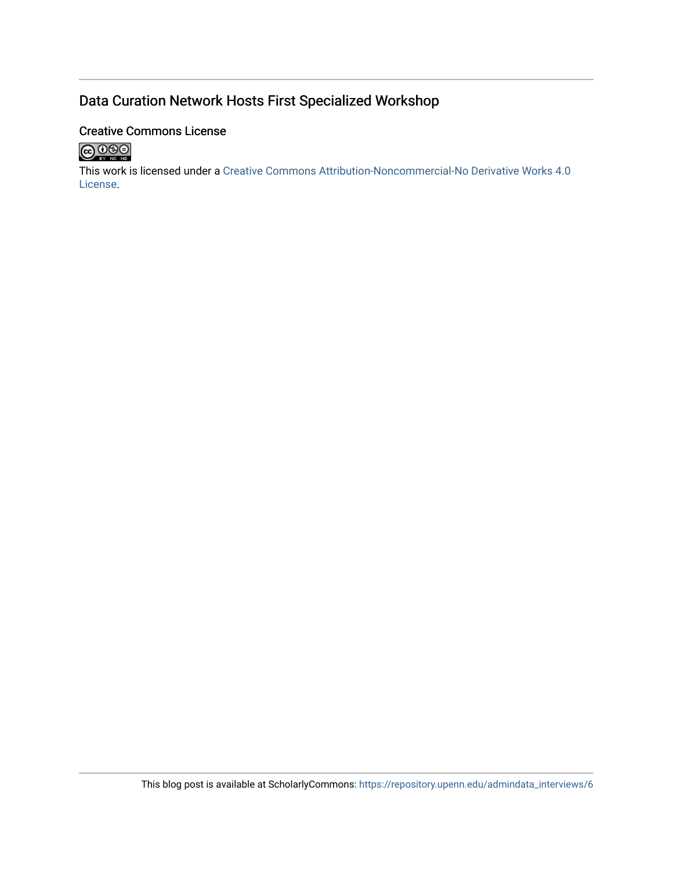## Data Curation Network Hosts First Specialized Workshop

#### Creative Commons License



This work is licensed under a [Creative Commons Attribution-Noncommercial-No Derivative Works 4.0](http://creativecommons.org/licenses/by-nc-nd/4.0/) [License](http://creativecommons.org/licenses/by-nc-nd/4.0/).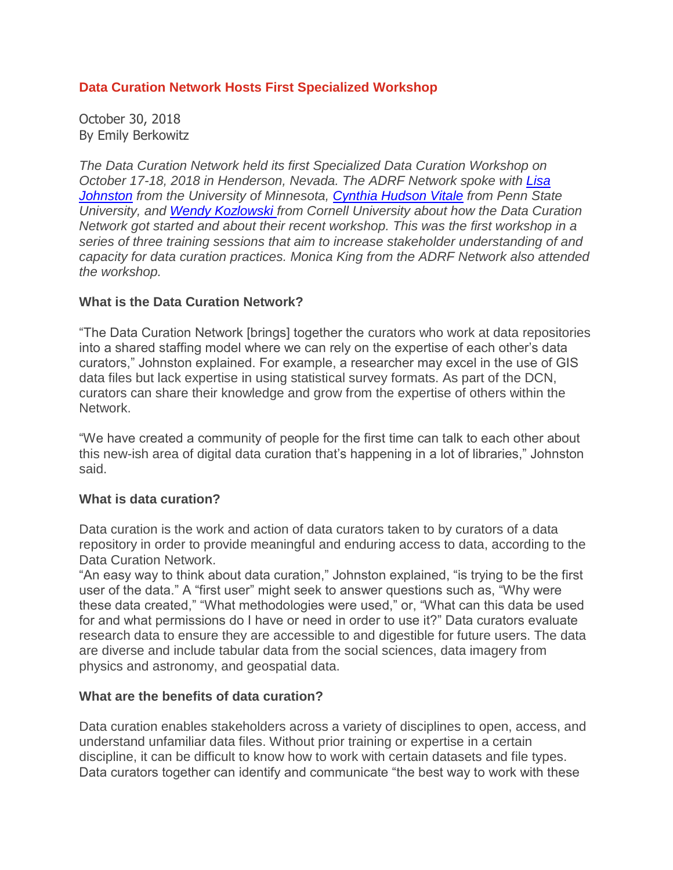### **Data Curation Network Hosts First Specialized Workshop**

October 30, 2018 By Emily Berkowitz

*The Data Curation Network held its first Specialized Data Curation Workshop on October 17-18, 2018 in Henderson, Nevada. The ADRF Network spoke with [Lisa](https://www.lib.umn.edu/about/staff/lisa-johnston) [Johnston](https://www.lib.umn.edu/about/staff/lisa-johnston) from the University of Minnesota, Cynthia [Hudson](https://libraries.psu.edu/directory/cuv185) Vitale from Penn State University, and Wendy [Kozlowski](https://data.research.cornell.edu/content/wendy-kozlowski) from Cornell University about how the Data Curation Network got started and about their recent workshop. This was the first workshop in a series of three training sessions that aim to increase stakeholder understanding of and capacity for data curation practices. Monica King from the ADRF Network also attended the workshop.*

### **What is the Data Curation Network?**

"The Data Curation Network [brings] together the curators who work at data repositories into a shared staffing model where we can rely on the expertise of each other's data curators," Johnston explained. For example, a researcher may excel in the use of GIS data files but lack expertise in using statistical survey formats. As part of the DCN, curators can share their knowledge and grow from the expertise of others within the Network.

"We have created a community of people for the first time can talk to each other about this new-ish area of digital data curation that's happening in a lot of libraries," Johnston said.

#### **What is data curation?**

Data curation is the work and action of data curators taken to by curators of a data repository in order to provide meaningful and enduring access to data, according to the Data Curation Network.

"An easy way to think about data curation," Johnston explained, "is trying to be the first user of the data." A "first user" might seek to answer questions such as, "Why were these data created," "What methodologies were used," or, "What can this data be used for and what permissions do I have or need in order to use it?" Data curators evaluate research data to ensure they are accessible to and digestible for future users. The data are diverse and include tabular data from the social sciences, data imagery from physics and astronomy, and geospatial data.

#### **What are the benefits of data curation?**

Data curation enables stakeholders across a variety of disciplines to open, access, and understand unfamiliar data files. Without prior training or expertise in a certain discipline, it can be difficult to know how to work with certain datasets and file types. Data curators together can identify and communicate "the best way to work with these